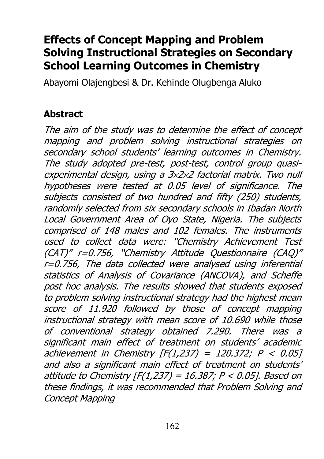# Effects of Concept Mapping and Problem Solving Instructional Strategies on Secondary School Learning Outcomes in Chemistry

Abayomi Olajengbesi & Dr. Kehinde Olugbenga Aluko

# Abstract

The aim of the study was to determine the effect of concept mapping and problem solving instructional strategies on secondary school students' learning outcomes in Chemistry. The study adopted pre-test, post-test, control group quasiexperimental design, using a 3×2×2 factorial matrix. Two null hypotheses were tested at 0.05 level of significance. The subjects consisted of two hundred and fifty (250) students, randomly selected from six secondary schools in Ibadan North Local Government Area of Oyo State, Nigeria. The subjects comprised of 148 males and 102 females. The instruments used to collect data were: "Chemistry Achievement Test (CAT)" r=0.756, "Chemistry Attitude Questionnaire (CAQ)" r=0.756, The data collected were analysed using inferential statistics of Analysis of Covariance (ANCOVA), and Scheffe post hoc analysis. The results showed that students exposed to problem solving instructional strategy had the highest mean score of 11.920 followed by those of concept mapping instructional strategy with mean score of 10.690 while those of conventional strategy obtained 7.290. There was a significant main effect of treatment on students' academic achievement in Chemistry  $[F(1,237) = 120.372; P < 0.05]$ and also a significant main effect of treatment on students' attitude to Chemistry  $[F(1,237) = 16.387; P < 0.05]$ . Based on these findings, it was recommended that Problem Solving and Concept Mapping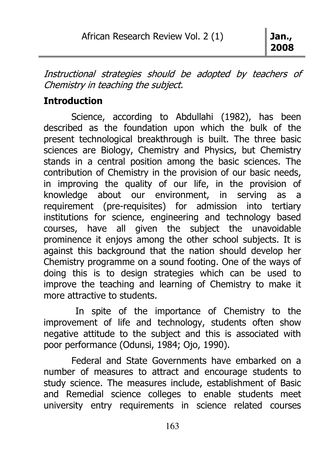Instructional strategies should be adopted by teachers of Chemistry in teaching the subject.

# **Introduction**

 Science, according to Abdullahi (1982), has been described as the foundation upon which the bulk of the present technological breakthrough is built. The three basic sciences are Biology, Chemistry and Physics, but Chemistry stands in a central position among the basic sciences. The contribution of Chemistry in the provision of our basic needs, in improving the quality of our life, in the provision of knowledge about our environment, in serving as a requirement (pre-requisites) for admission into tertiary institutions for science, engineering and technology based courses, have all given the subject the unavoidable prominence it enjoys among the other school subjects. It is against this background that the nation should develop her Chemistry programme on a sound footing. One of the ways of doing this is to design strategies which can be used to improve the teaching and learning of Chemistry to make it more attractive to students.

 In spite of the importance of Chemistry to the improvement of life and technology, students often show negative attitude to the subject and this is associated with poor performance (Odunsi, 1984; Ojo, 1990).

 Federal and State Governments have embarked on a number of measures to attract and encourage students to study science. The measures include, establishment of Basic and Remedial science colleges to enable students meet university entry requirements in science related courses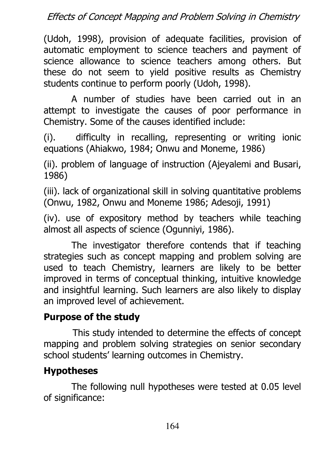(Udoh, 1998), provision of adequate facilities, provision of automatic employment to science teachers and payment of science allowance to science teachers among others. But these do not seem to yield positive results as Chemistry students continue to perform poorly (Udoh, 1998).

A number of studies have been carried out in an attempt to investigate the causes of poor performance in Chemistry. Some of the causes identified include:

(i). difficulty in recalling, representing or writing ionic equations (Ahiakwo, 1984; Onwu and Moneme, 1986)

(ii). problem of language of instruction (Ajeyalemi and Busari, 1986)

(iii). lack of organizational skill in solving quantitative problems (Onwu, 1982, Onwu and Moneme 1986; Adesoji, 1991)

(iv). use of expository method by teachers while teaching almost all aspects of science (Ogunniyi, 1986).

The investigator therefore contends that if teaching strategies such as concept mapping and problem solving are used to teach Chemistry, learners are likely to be better improved in terms of conceptual thinking, intuitive knowledge and insightful learning. Such learners are also likely to display an improved level of achievement.

# Purpose of the study

 This study intended to determine the effects of concept mapping and problem solving strategies on senior secondary school students' learning outcomes in Chemistry.

# Hypotheses

 The following null hypotheses were tested at 0.05 level of significance: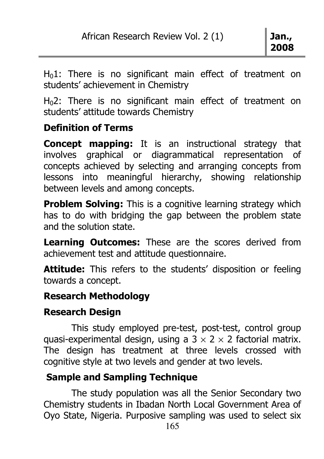$H<sub>0</sub>1$ : There is no significant main effect of treatment on students' achievement in Chemistry

H<sub>0</sub>2: There is no significant main effect of treatment on students' attitude towards Chemistry

### Definition of Terms

Concept mapping: It is an instructional strategy that involves graphical or diagrammatical representation of concepts achieved by selecting and arranging concepts from lessons into meaningful hierarchy, showing relationship between levels and among concepts.

**Problem Solving:** This is a cognitive learning strategy which has to do with bridging the gap between the problem state and the solution state.

Learning Outcomes: These are the scores derived from achievement test and attitude questionnaire.

Attitude: This refers to the students' disposition or feeling towards a concept.

### Research Methodology

# Research Design

 This study employed pre-test, post-test, control group quasi-experimental design, using a  $3 \times 2 \times 2$  factorial matrix. The design has treatment at three levels crossed with cognitive style at two levels and gender at two levels.

# Sample and Sampling Technique

 The study population was all the Senior Secondary two Chemistry students in Ibadan North Local Government Area of Oyo State, Nigeria. Purposive sampling was used to select six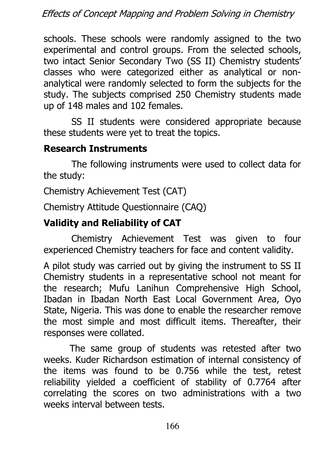schools. These schools were randomly assigned to the two experimental and control groups. From the selected schools, two intact Senior Secondary Two (SS II) Chemistry students' classes who were categorized either as analytical or nonanalytical were randomly selected to form the subjects for the study. The subjects comprised 250 Chemistry students made up of 148 males and 102 females.

 SS II students were considered appropriate because these students were yet to treat the topics.

### Research Instruments

 The following instruments were used to collect data for the study:

Chemistry Achievement Test (CAT)

Chemistry Attitude Questionnaire (CAQ)

# Validity and Reliability of CAT

 Chemistry Achievement Test was given to four experienced Chemistry teachers for face and content validity.

A pilot study was carried out by giving the instrument to SS II Chemistry students in a representative school not meant for the research; Mufu Lanihun Comprehensive High School, Ibadan in Ibadan North East Local Government Area, Oyo State, Nigeria. This was done to enable the researcher remove the most simple and most difficult items. Thereafter, their responses were collated.

 The same group of students was retested after two weeks. Kuder Richardson estimation of internal consistency of the items was found to be 0.756 while the test, retest reliability yielded a coefficient of stability of 0.7764 after correlating the scores on two administrations with a two weeks interval between tests.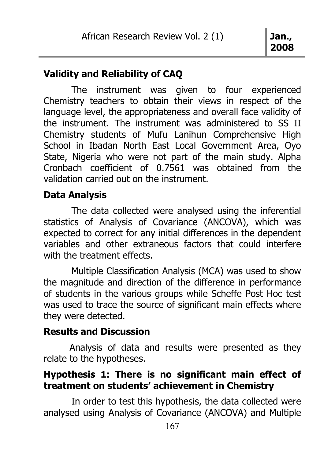2008

### Validity and Reliability of CAQ

 The instrument was given to four experienced Chemistry teachers to obtain their views in respect of the language level, the appropriateness and overall face validity of the instrument. The instrument was administered to SS II Chemistry students of Mufu Lanihun Comprehensive High School in Ibadan North East Local Government Area, Oyo State, Nigeria who were not part of the main study. Alpha Cronbach coefficient of 0.7561 was obtained from the validation carried out on the instrument.

### Data Analysis

 The data collected were analysed using the inferential statistics of Analysis of Covariance (ANCOVA), which was expected to correct for any initial differences in the dependent variables and other extraneous factors that could interfere with the treatment effects.

 Multiple Classification Analysis (MCA) was used to show the magnitude and direction of the difference in performance of students in the various groups while Scheffe Post Hoc test was used to trace the source of significant main effects where they were detected.

### Results and Discussion

 Analysis of data and results were presented as they relate to the hypotheses.

### Hypothesis 1: There is no significant main effect of treatment on students' achievement in Chemistry

 In order to test this hypothesis, the data collected were analysed using Analysis of Covariance (ANCOVA) and Multiple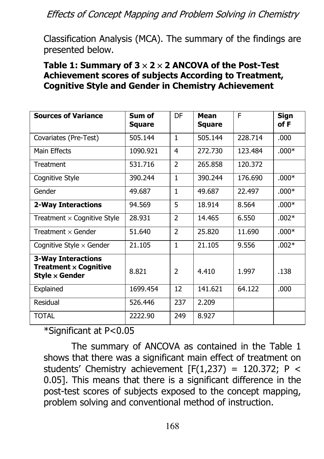Classification Analysis (MCA). The summary of the findings are presented below.

#### Table 1: Summary of  $3 \times 2 \times 2$  ANCOVA of the Post-Test Achievement scores of subjects According to Treatment, Cognitive Style and Gender in Chemistry Achievement

| <b>Sources of Variance</b>                                                                           | Sum of<br>Square | DF             | Mean<br>Square | E       | Sign<br>of F |
|------------------------------------------------------------------------------------------------------|------------------|----------------|----------------|---------|--------------|
| Covariates (Pre-Test)                                                                                | 505.144          | 1              | 505.144        | 228.714 | .000         |
| Main Effects                                                                                         | 1090.921         | 4              | 272.730        | 123.484 | $.000*$      |
| Treatment                                                                                            | 531.716          | $\overline{2}$ | 265.858        | 120.372 |              |
| Cognitive Style                                                                                      | 390.244          | 1              | 390.244        | 176.690 | $.000*$      |
| Gender                                                                                               | 49.687           | 1              | 49.687         | 22.497  | $.000*$      |
| <b>2-Way Interactions</b>                                                                            | 94.569           | 5              | 18.914         | 8.564   | $.000*$      |
| Treatment $\times$ Cognitive Style                                                                   | 28.931           | $\overline{2}$ | 14.465         | 6.550   | $.002*$      |
| Treatment $\times$ Gender                                                                            | 51.640           | $\overline{2}$ | 25,820         | 11.690  | $.000*$      |
| Cognitive Style $\times$ Gender                                                                      | 21.105           | 1              | 21.105         | 9.556   | $.002*$      |
| <b>3-Way Interactions</b><br><b>Treatment <math>\times</math> Cognitive</b><br>Style $\times$ Gender | 8.821            | $\mathcal{P}$  | 4.410          | 1.997   | .138         |
| Explained                                                                                            | 1699.454         | 12             | 141.621        | 64.122  | .000         |
| Residual                                                                                             | 526.446          | 237            | 2.209          |         |              |
| <b>TOTAL</b>                                                                                         | 2222.90          | 249            | 8.927          |         |              |

\*Significant at P<0.05

The summary of ANCOVA as contained in the Table 1 shows that there was a significant main effect of treatment on students' Chemistry achievement  $[F(1,237) = 120.372; P <$ 0.05]. This means that there is a significant difference in the post-test scores of subjects exposed to the concept mapping, problem solving and conventional method of instruction.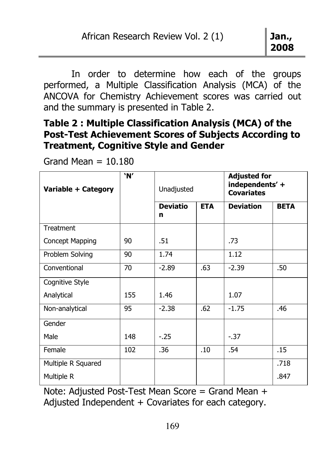In order to determine how each of the groups performed, a Multiple Classification Analysis (MCA) of the ANCOVA for Chemistry Achievement scores was carried out and the summary is presented in Table 2.

## Table 2 : Multiple Classification Analysis (MCA) of the Post-Test Achievement Scores of Subjects According to Treatment, Cognitive Style and Gender

Grand Mean  $= 10.180$ 

| Variable + Category | 'N' | Unadjusted           |            | <b>Adjusted for</b><br>independents' +<br><b>Covariates</b> |             |  |
|---------------------|-----|----------------------|------------|-------------------------------------------------------------|-------------|--|
|                     |     | <b>Deviatio</b><br>n | <b>ETA</b> | <b>Deviation</b>                                            | <b>BETA</b> |  |
| Treatment           |     |                      |            |                                                             |             |  |
| Concept Mapping     | 90  | .51                  |            | .73                                                         |             |  |
| Problem Solving     | 90  | 1.74                 |            | 1.12                                                        |             |  |
| Conventional        | 70  | $-2.89$              | .63        | $-2.39$                                                     | .50         |  |
| Cognitive Style     |     |                      |            |                                                             |             |  |
| Analytical          | 155 | 1.46                 |            | 1.07                                                        |             |  |
| Non-analytical      | 95  | $-2.38$              | .62        | $-1.75$                                                     | .46         |  |
| Gender              |     |                      |            |                                                             |             |  |
| Male                | 148 | $-.25$               |            | $-0.37$                                                     |             |  |
| Female              | 102 | .36                  | .10        | .54                                                         | .15         |  |
| Multiple R Squared  |     |                      |            |                                                             | .718        |  |
| Multiple R          |     |                      |            |                                                             | .847        |  |

Note: Adjusted Post-Test Mean Score = Grand Mean + Adjusted Independent + Covariates for each category.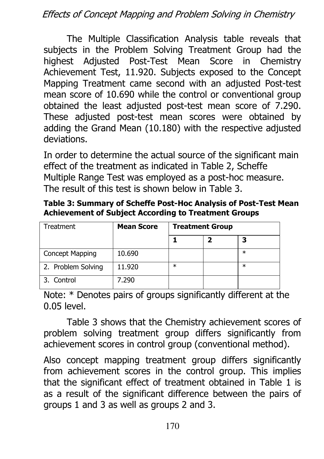The Multiple Classification Analysis table reveals that subjects in the Problem Solving Treatment Group had the highest Adjusted Post-Test Mean Score in Chemistry Achievement Test, 11.920. Subjects exposed to the Concept Mapping Treatment came second with an adjusted Post-test mean score of 10.690 while the control or conventional group obtained the least adjusted post-test mean score of 7.290. These adjusted post-test mean scores were obtained by adding the Grand Mean (10.180) with the respective adjusted deviations.

In order to determine the actual source of the significant main effect of the treatment as indicated in Table 2, Scheffe Multiple Range Test was employed as a post-hoc measure. The result of this test is shown below in Table 3.

Table 3: Summary of Scheffe Post-Hoc Analysis of Post-Test Mean Achievement of Subject According to Treatment Groups

| Treatment          | <b>Mean Score</b> | <b>Treatment Group</b> |  |        |
|--------------------|-------------------|------------------------|--|--------|
|                    |                   |                        |  |        |
| Concept Mapping    | 10.690            |                        |  | $\ast$ |
| 2. Problem Solving | 11.920            | $\ast$                 |  | $\ast$ |
| 3. Control         | 7.290             |                        |  |        |

Note: \* Denotes pairs of groups significantly different at the 0.05 level.

 Table 3 shows that the Chemistry achievement scores of problem solving treatment group differs significantly from achievement scores in control group (conventional method).

Also concept mapping treatment group differs significantly from achievement scores in the control group. This implies that the significant effect of treatment obtained in Table 1 is as a result of the significant difference between the pairs of groups 1 and 3 as well as groups 2 and 3.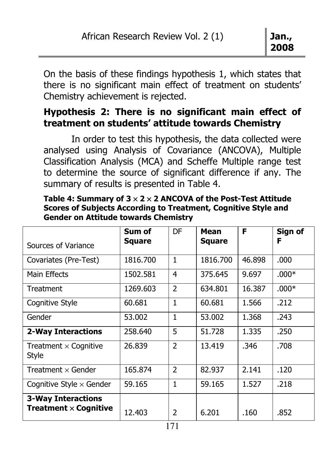On the basis of these findings hypothesis 1, which states that there is no significant main effect of treatment on students' Chemistry achievement is rejected.

### Hypothesis 2: There is no significant main effect of treatment on students' attitude towards Chemistry

 In order to test this hypothesis, the data collected were analysed using Analysis of Covariance (ANCOVA), Multiple Classification Analysis (MCA) and Scheffe Multiple range test to determine the source of significant difference if any. The summary of results is presented in Table 4.

| Sources of Variance                                                         | Sum of<br><b>Square</b> | DF             | Mean<br><b>Square</b> | F      | Sign of<br>F |
|-----------------------------------------------------------------------------|-------------------------|----------------|-----------------------|--------|--------------|
| Covariates (Pre-Test)                                                       | 1816.700                | 1              | 1816.700              | 46.898 | .000         |
| Main Effects                                                                | 1502.581                | 4              | 375.645               | 9.697  | $.000*$      |
| Treatment                                                                   | 1269.603                | $\overline{2}$ | 634.801               | 16.387 | $.000*$      |
| Cognitive Style                                                             | 60.681                  | $\mathbf{1}$   | 60.681                | 1.566  | .212         |
| Gender                                                                      | 53.002                  | $\mathbf{1}$   | 53.002                | 1.368  | .243         |
| <b>2-Way Interactions</b>                                                   | 258.640                 | 5              | 51,728                | 1.335  | .250         |
| Treatment $\times$ Cognitive<br>Style                                       | 26.839                  | $\mathcal{P}$  | 13.419                | .346   | .708         |
| Treatment $\times$ Gender                                                   | 165.874                 | $\overline{2}$ | 82,937                | 2.141  | .120         |
| Cognitive Style $\times$ Gender                                             | 59.165                  | $\mathbf{1}$   | 59.165                | 1.527  | .218         |
| <b>3-Way Interactions</b><br><b>Treatment <math>\times</math> Cognitive</b> | 12.403                  | $\overline{2}$ | 6.201                 | .160   | .852         |

Table 4: Summary of  $3 \times 2 \times 2$  ANCOVA of the Post-Test Attitude Scores of Subjects According to Treatment, Cognitive Style and Gender on Attitude towards Chemistry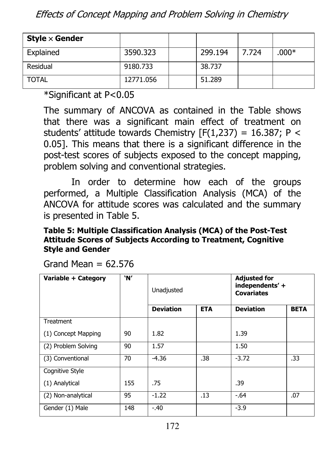| Style $\times$ Gender |           |         |       |         |
|-----------------------|-----------|---------|-------|---------|
| Explained             | 3590.323  | 299.194 | 7.724 | $.000*$ |
| Residual              | 9180.733  | 38.737  |       |         |
| <b>TOTAL</b>          | 12771.056 | 51.289  |       |         |

\*Significant at P<0.05

The summary of ANCOVA as contained in the Table shows that there was a significant main effect of treatment on students' attitude towards Chemistry  $[F(1,237) = 16.387; P <$ 0.05]. This means that there is a significant difference in the post-test scores of subjects exposed to the concept mapping, problem solving and conventional strategies.

 In order to determine how each of the groups performed, a Multiple Classification Analysis (MCA) of the ANCOVA for attitude scores was calculated and the summary is presented in Table 5.

#### Table 5: Multiple Classification Analysis (MCA) of the Post-Test Attitude Scores of Subjects According to Treatment, Cognitive Style and Gender

| Variable + Category | 'N' | Unadjusted       |            | <b>Adjusted for</b><br>independents' +<br><b>Covariates</b> |             |
|---------------------|-----|------------------|------------|-------------------------------------------------------------|-------------|
|                     |     | <b>Deviation</b> | <b>ETA</b> | <b>Deviation</b>                                            | <b>BETA</b> |
| <b>Treatment</b>    |     |                  |            |                                                             |             |
| (1) Concept Mapping | 90  | 1.82             |            | 1.39                                                        |             |
| (2) Problem Solving | 90  | 1.57             |            | 1.50                                                        |             |
| (3) Conventional    | 70  | $-4.36$          | .38        | $-3.72$                                                     | .33         |
| Cognitive Style     |     |                  |            |                                                             |             |
| (1) Analytical      | 155 | .75              |            | .39                                                         |             |
| (2) Non-analytical  | 95  | $-1.22$          | .13        | $-.64$                                                      | .07         |
| Gender (1) Male     | 148 | $-.40$           |            | $-3.9$                                                      |             |

Grand Mean  $= 62.576$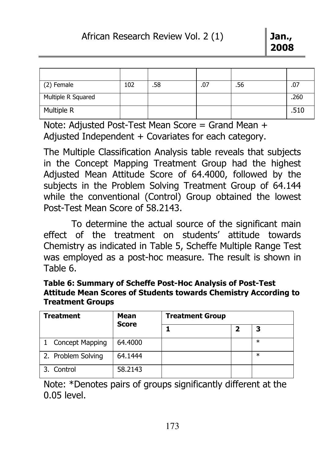| (2) Female         | 102 | .58 | .07 | .56 | .07  |
|--------------------|-----|-----|-----|-----|------|
| Multiple R Squared |     |     |     |     | .260 |
| Multiple R         |     |     |     |     | .510 |

Note: Adjusted Post-Test Mean Score = Grand Mean + Adjusted Independent + Covariates for each category.

The Multiple Classification Analysis table reveals that subjects in the Concept Mapping Treatment Group had the highest Adjusted Mean Attitude Score of 64.4000, followed by the subjects in the Problem Solving Treatment Group of 64.144 while the conventional (Control) Group obtained the lowest Post-Test Mean Score of 58.2143.

 To determine the actual source of the significant main effect of the treatment on students' attitude towards Chemistry as indicated in Table 5, Scheffe Multiple Range Test was employed as a post-hoc measure. The result is shown in Table 6.

| Table 6: Summary of Scheffe Post-Hoc Analysis of Post-Test      |
|-----------------------------------------------------------------|
| Attitude Mean Scores of Students towards Chemistry According to |
| <b>Treatment Groups</b>                                         |

| <b>Treatment</b>   | Mean<br><b>Score</b> | <b>Treatment Group</b> |  |        |
|--------------------|----------------------|------------------------|--|--------|
|                    |                      |                        |  | 3      |
| Concept Mapping    | 64,4000              |                        |  | $\ast$ |
| 2. Problem Solving | 64.1444              |                        |  | $\ast$ |
| 3. Control         | 58.2143              |                        |  |        |

Note: \*Denotes pairs of groups significantly different at the 0.05 level.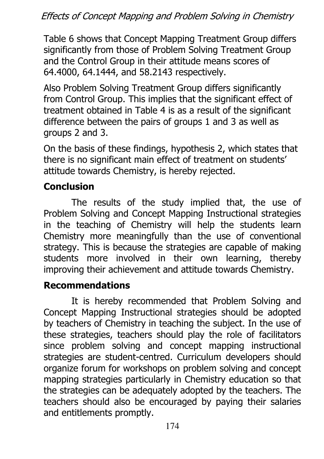Table 6 shows that Concept Mapping Treatment Group differs significantly from those of Problem Solving Treatment Group and the Control Group in their attitude means scores of 64.4000, 64.1444, and 58.2143 respectively.

Also Problem Solving Treatment Group differs significantly from Control Group. This implies that the significant effect of treatment obtained in Table 4 is as a result of the significant difference between the pairs of groups 1 and 3 as well as groups 2 and 3.

On the basis of these findings, hypothesis 2, which states that there is no significant main effect of treatment on students' attitude towards Chemistry, is hereby rejected.

# **Conclusion**

The results of the study implied that, the use of Problem Solving and Concept Mapping Instructional strategies in the teaching of Chemistry will help the students learn Chemistry more meaningfully than the use of conventional strategy. This is because the strategies are capable of making students more involved in their own learning, thereby improving their achievement and attitude towards Chemistry.

# Recommendations

It is hereby recommended that Problem Solving and Concept Mapping Instructional strategies should be adopted by teachers of Chemistry in teaching the subject. In the use of these strategies, teachers should play the role of facilitators since problem solving and concept mapping instructional strategies are student-centred. Curriculum developers should organize forum for workshops on problem solving and concept mapping strategies particularly in Chemistry education so that the strategies can be adequately adopted by the teachers. The teachers should also be encouraged by paying their salaries and entitlements promptly.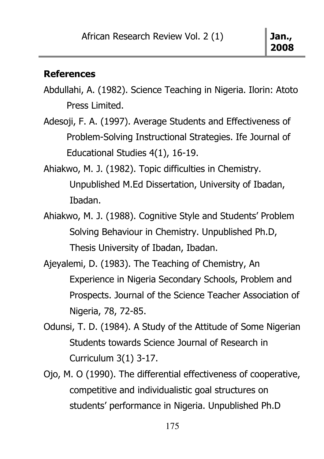#### **References**

- Abdullahi, A. (1982). Science Teaching in Nigeria. Ilorin: Atoto Press Limited.
- Adesoji, F. A. (1997). Average Students and Effectiveness of Problem-Solving Instructional Strategies. Ife Journal of Educational Studies 4(1), 16-19.
- Ahiakwo, M. J. (1982). Topic difficulties in Chemistry. Unpublished M.Ed Dissertation, University of Ibadan, Ibadan.
- Ahiakwo, M. J. (1988). Cognitive Style and Students' Problem Solving Behaviour in Chemistry. Unpublished Ph.D, Thesis University of Ibadan, Ibadan.
- Ajeyalemi, D. (1983). The Teaching of Chemistry, An Experience in Nigeria Secondary Schools, Problem and Prospects. Journal of the Science Teacher Association of Nigeria, 78, 72-85.
- Odunsi, T. D. (1984). A Study of the Attitude of Some Nigerian Students towards Science Journal of Research in Curriculum 3(1) 3-17.
- Ojo, M. O (1990). The differential effectiveness of cooperative, competitive and individualistic goal structures on students' performance in Nigeria. Unpublished Ph.D